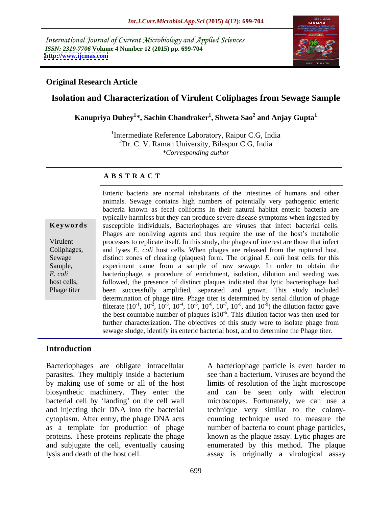International Journal of Current Microbiology and Applied Sciences *ISSN: 2319-7706* **Volume 4 Number 12 (2015) pp. 699-704 <http://www.ijcmas.com>**



## **Original Research Article**

# **Isolation and Characterization of Virulent Coliphages from Sewage Sample**

 $\bold{Kanupriya Dubey^{1*}}$ , Sachin Chandraker $^1$ , Shweta Sao $^2$  and Anjay Gupta $^1$ **and Anjay Gupta<sup>1</sup>**

<sup>1</sup>Intermediate Reference Laboratory, Raipur C.G, India  ${}^{2}Dr$ . C. V. Raman University, Bilaspur C.G, India *\*Corresponding author*

## **A B S T R A C T**

Phage titer

Enteric bacteria are normal inhabitants of the intestines of humans and other animals. Sewage contains high numbers of potentially very pathogenic enteric bacteria known as fecal coliforms In their natural habitat enteric bacteria are typically harmless but they can produce severe disease symptoms when ingested by susceptible individuals, Bacteriophages are viruses that infect bacterial cells. **Ke ywords** Phages are nonliving agents and thus require the use of the host's metabolic processes to replicate itself. In this study, the phages of interest are those that infect Virulent Coliphages, and lyses *E. coli* host cells. When phages are released from the ruptured host, Sewage distinct zones of clearing (plaques) form. The original *E. coli* host cells for this Sample, experiment came from a sample of raw sewage. In order to obtain the bacteriophage, a procedure of enrichment, isolation, dilution and seeding was *E. coli* host cells, host cells, howed, the presence of distinct plaques indicated that lytic bacteriophage had been successfully amplified, separated and grown. This study included determination of phage titre. Phage titer is determined by serial dilution of phage filterate  $(10^{-1}, 10^{-2}, 10^{-3}, 10^{-4}, 10^{-5}, 10^{-6}, 10^{-7}, 10^{-8}, \text{ and } 10^{-9})$  the dilution factor gave ) the dilution factor gave the best countable number of plaques is  $10^{-6}$ . This dilution factor was then used for further characterization. The objectives of this study were to isolate phage from sewage sludge, identify its enteric bacterial host, and to determine the Phage titer.

## **Introduction**

Bacteriophages are obligate intracellular A bacteriophage particle is even harder to parasites. They multiply inside a bacterium see than a bacterium. Viruses are beyond the by making use of some or all of the host limits of resolution of the light microscope biosynthetic machinery. They enter the and can be seen only with electron bacterial cell by 'landing' on the cell wall microscopes. Fortunately, we can use a and injecting their DNA into the bacterial technique very similar to the colony cytoplasm. After entry, the phage DNA acts counting technique used to measure the as a template for production of phage proteins. These proteins replicate the phage known as the plaque assay. Lytic phages are and subjugate the cell, eventually causing lysis and death of the host cell. assay is originally a virological assay

number of bacteria to count phage particles, enumerated by this method. The plaque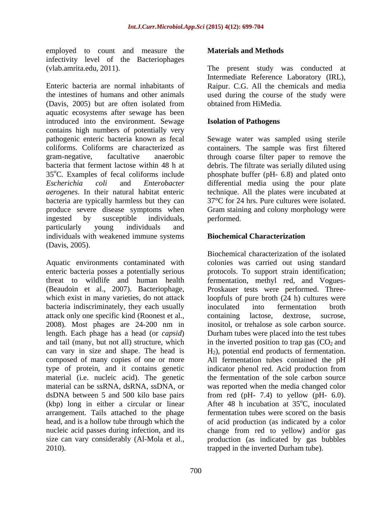employed to count and measure the **Materials and Methods** infectivity level of the Bacteriophages

Enteric bacteria are normal inhabitants of Raipur. C.G. All the chemicals and media the intestines of humans and other animals used during the course of the study were (Davis, 2005) but are often isolated from aquatic ecosystems after sewage has been introduced into the environment. Sewage contains high numbers of potentially very pathogenic enteric bacteria known as fecal Sewage water was sampled using sterile coliforms. Coliforms are characterized as containers. The sample was first filtered gram-negative, facultative anaerobic through coarse filter paper to remove the bacteria that ferment lactose within 48 h at debris. The filtrate was serially diluted using 35<sup>o</sup>C. Examples of fecal coliforms include phosphate buffer (pH- 6.8) and plated onto *Escherichia coli* and *Enterobacter*  differential media using the pour plate *aerogenes*. In their natural habitat enteric technique. All the plates were incubated at bacteria are typically harmless but they can produce severe disease symptoms when ingested by susceptible individuals, particularly young individuals and individuals with weakened immune systems **Biochemical Characterization** (Davis, 2005).

Aquatic environments contaminated with bacteria indiscriminately, they each usually inoculated into fermentation broth attack only one specific kind (Roonest et al., 2008). Most phages are 24-200 nm in length. Each phage has a head (or *capsid*) (kbp) long in either a circular or linear arrangement. Tails attached to the phage head, and is a hollow tube through which the 2010). trapped in the inverted Durham tube).

## **Materials and Methods**

(vlab.amrita.edu, 2011). The present study was conducted at Intermediate Reference Laboratory (IRL), obtained from HiMedia.

## **Isolation of Pathogens**

 $37^{\circ}$ C for 24 hrs. Pure cultures were isolated. Gram staining and colony morphology were performed.

# **Biochemical Characterization**

enteric bacteria posses a potentially serious protocols. To support strain identification; threat to wildlife and human health fermentation, methyl red, and Vogues- (Beaudoin et al., 2007). Bacteriophage, Proskauer tests were performed. Threewhich exist in many varieties, do not attack loopfuls of pure broth  $(24 h)$  cultures were and tail (many, but not all) structure, which in the inverted position to trap gas  $(CO<sub>2</sub>$  and can vary in size and shape. The head is  $H_2$ ), potential end products of fermentation. composed of many copies of one or more All fermentation tubes contained the pH type of protein, and it contains genetic indicator phenol red. Acid production from material (i.e. nucleic acid). The genetic the fermentation of the sole carbon source material can be ssRNA, dsRNA, ssDNA, or was reported when the media changed color dsDNA between 5 and 500 kilo base pairs from red (pH- 7.4) to yellow (pH- 6.0). nucleic acid passes during infection, and its change from red to yellow) and/or gas size can vary considerably (Al-Mola et al., production (as indicated by gas bubbles Biochemical characterization of the isolated colonies was carried out using standard inoculated into fermentation broth containing lactose, dextrose, sucrose, inositol, or trehalose as sole carbon source. Durham tubes were placed into the test tubes After 48 h incubation at  $35^{\circ}$ C, inoculated <sup>o</sup>C, inoculated fermentation tubes were scored on the basis of acid production (as indicated by a color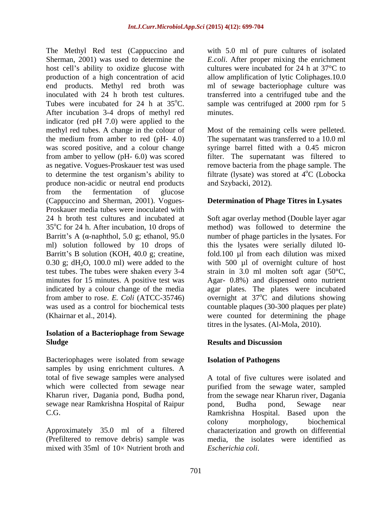The Methyl Red test (Cappuccino and with 5.0 ml of pure cultures of isolated Sherman, 2001) was used to determine the *E.coli*. After proper mixing the enrichment host cell's ability to oxidize glucose with cultures were incubated for 24 h at  $37^{\circ}$ C to production of a high concentration of acid allow amplification of lytic Coliphages.10.0 end products. Methyl red broth was ml of sewage bacteriophage culture was inoculated with 24 h broth test cultures. transferred into a centrifuged tube and the Tubes were incubated for 24 h at  $35^{\circ}$ C. sample was centrifuged at 2000 rpm for 5 After incubation 3-4 drops of methyl red minutes. indicator (red pH 7.0) were applied to the methyl red tubes. A change in the colour of Most of the remaining cells were pelleted. the medium from amber to red (pH- 4.0) The supernatant was transferred to a 10.0 ml was scored positive, and a colour change syringe barrel fitted with a 0.45 micron from amber to yellow (pH- 6.0) was scored as negative. Vogues-Proskauer test was used remove bacteria from the phage sample. The to determine the test organism's ability to filtrate (lysate) was stored at  $4^{\circ}C$  (Lobocka produce non-acidic or neutral end products from the fermentation of glucose (Cappuccino and Sherman, 2001). Vogues- Proskauer media tubes were inoculated with 24 h broth test cultures and incubated at Soft agar overlay method (Double layer agar  $35^{\circ}$ C for 24 h. After incubation, 10 drops of Barritt's A  $(\alpha$ -naphthol, 5.0 g; ethanol, 95.0 mumber of phage particles in the lysates. For ml) solution followed by 10 drops of this the lysates were serially diluted l0- Barritt's B solution (KOH, 40.0 g; creatine, fold.100 µl from each dilution was mixed 0.30 g;  $dH_2O$ , 100.0 ml) were added to the with 500 µl of overnight culture of host test tubes. The tubes were shaken every 3-4 strain in 3.0 ml molten soft agar (50°C, minutes for 15 minutes. A positive test was Agar- 0.8%) and dispensed onto nutrient indicated by a colour change of the media agar plates. The plates were incubated from amber to rose. *E. Coli* (ATCC-35746) overnight at 37<sup>o</sup>C and dilutions showing was used as a control for biochemical tests countable plaques (30-300 plaques per plate) (Khairnar et al., 2014). were counted for determining the phage

## **Isolation of a Bacteriophage from Sewage Sludge Results and Discussion**

Bacteriophages were isolated from sewage samples by using enrichment cultures. A sewage near Ramkrishna Hospital of Raipur pond, Budha pond, Sewage near

mixed with  $35ml$  of  $10\times$  Nutrient broth and

cultures were incubated for 24 h at 37°C to minutes.

filter. The supernatant was filtered to <sup>o</sup>C (Lobocka and Szybacki, 2012)*.*

# **Determination of Phage Titres in Lysates**

method) was followed to determine the  $\rm{^{\circ}C}$  and dilutions showing titres in the lysates. (Al-Mola, 2010).

## **Results and Discussion**

# **Isolation of Pathogens**

total of five sewage samples were analysed A total of five cultures were isolated and which were collected from sewage near purified from the sewage water, sampled Kharun river, Dagania pond, Budha pond, from the sewage near Kharun river, Dagania C.G. Ramkrishna Hospital. Based upon the Approximately 35.0 ml of a filtered characterization and growth on differential (Prefiltered to remove debris) sample was media, the isolates were identified as pond, Budha pond, Sewage near colony morphology, biochemical *Escherichia coli*.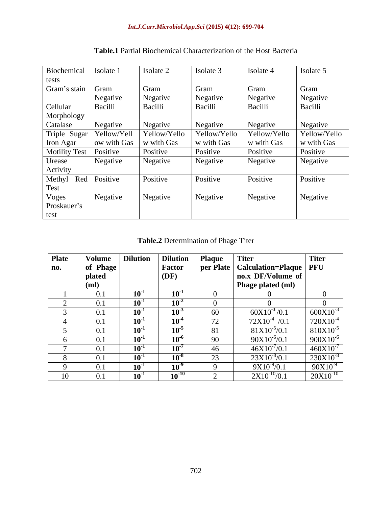| Biochemical          | Isolate 1   | Isolate 2    | Isolate 3    | Isolate 4    | Isolate 5    |
|----------------------|-------------|--------------|--------------|--------------|--------------|
| tests                |             |              |              |              |              |
| Gram's stain Gram    |             | Gram         | Gram         | Gram         | Gram         |
|                      | Negative    | Negative     | Negative     | Negative     | Negative     |
| Cellular             | Bacilli     | Bacilli      | Bacilli      | Bacilli      | Bacilli      |
| Morphology           |             |              |              |              |              |
| Catalase             | Negative    | Negative     | Negative     | Negative     | Negative     |
| Triple Sugar         | Yellow/Yell | Yellow/Yello | Yellow/Yello | Yellow/Yello | Yellow/Yello |
| Iron Agar            | ow with Gas | w with Gas   | w with Gas   | w with Gas   | w with Gas   |
| <b>Motility Test</b> | Positive    | Positive     | Positive     | Positive     | Positive     |
| Urease               | Negative    | Negative     | Negative     | Negative     | Negative     |
| Activity             |             |              |              |              |              |
| Methyl Red Positive  |             | Positive     | Positive     | Positive     | Positive     |
| Test                 |             |              |              |              |              |
| Voges                | Negative    | Negative     | Negative     | Negative     | Negative     |
| Proskauer's          |             |              |              |              |              |
| test                 |             |              |              |              |              |

**Table.1** Partial Biochemical Characterization of the Host Bacteria

**Table.2** Determination of Phage Titer

| <b>Plate</b> | Volume   | <b>Dilution</b> | <b>Dilution</b>            | <b>Plaque</b> | <b>Titer</b>                         | <b>Titer</b>  |
|--------------|----------|-----------------|----------------------------|---------------|--------------------------------------|---------------|
| no.          | of Phage |                 | Factor                     |               | per Plate   Calculation=Plaque   PFU |               |
|              | plated   |                 | $\overline{(\mathbf{DF})}$ |               | no.x DF/Volume of                    |               |
|              | (ml)     |                 |                            |               | Phage plated (ml)                    |               |
|              | 0.1      | $10^{\circ}$    | $10^{-1}$                  |               |                                      |               |
|              | 0.1      | $10^{\circ}$    | $10^{-2}$                  |               |                                      |               |
|              | 0.1      | $10^{-1}$       | $10^{-3}$                  | 60            | $60X10^{-3}/0.1$                     | $600X10^{-3}$ |
|              | 0.1      | $10^{-1}$       | $10^{-4}$                  | 72            | $72X10^{-4}$ /0.1                    | $720X10^{-4}$ |
|              | 0.1      | $10-1$          | $10^{-5}$                  | 81            | $81X10^{-5}/0.1$                     | $810X10^{-5}$ |
|              | 0.1      | $10^{-1}$       | $10^{-6}$                  | 90            | $90X10^{-6}/0.1$                     | $900X10^{-6}$ |
|              | 0.1      | $10^{-1}$       | $10^{-7}$                  | 46            | $46X10^{7}/0.1$                      | $460X10^{-7}$ |
|              | 0.1      | $10^{-1}$       | $10^{-8}$                  | 23            | $23X10^{8}/0.1$                      | $230X10^{-8}$ |
|              | 0.1      | $10^{-1}$       | $10^{3}$                   | $\sim$        | $9X10^{-9}/0.1$                      | $90X10^{-9}$  |
|              | 0.1      | $10^{-1}$       | $10^{-10}$                 |               | $2X10^{-10}/0.1$                     | $20X10^{-10}$ |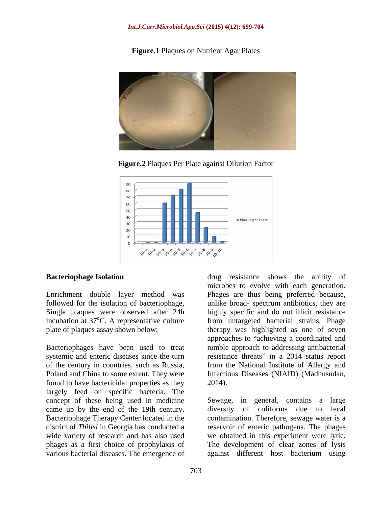# **Figure.1** Plaques on Nutrient Agar Plates



**Figure.2** Plaques Per Plate against Dilution Factor



Bacteriophages have been used to treat found to have bactericidal properties as they 2014). largely feed on specific bacteria. The concept of these being used in medicine came up by the end of the 19th century. Bacteriophage Therapy Center located in the contamination. Therefore, sewage water is a district of *Tbilisi* in Georgia has conducted a reservoir of enteric pathogens. The phages wide variety of research and has also used we obtained in this experiment were lytic. phages as a first choice of prophylaxis of various bacterial diseases. The emergence of

**Bacteriophage Isolation drug** resistance shows the ability of Enrichment double layer method was Phages are thus being preferred because, followed for the isolation of bacteriophage, unlike broad- spectrum antibiotics, they are Single plaques were observed after 24h highly specific and do not illicit resistance incubation at 37<sup>o</sup>C. A representative culture from untargeted bacterial strains. Phage plate of plaques assay shown below; therapy was highlighted as one of seven systemic and enteric diseases since the turn resistance threats" in a 2014 status report of the century in countries, such as Russia, from the National Institute of Allergy and Poland and China to some extent. They were Infectious Diseases (NIAID) (Madhusudan, microbes to evolve with each generation. approaches to "achieving a coordinated and nimble approach to addressing antibacterial 2014).

> Sewage, in general, contains a large diversity of coliforms due to fecal The development of clear zones of lysis against different host bacterium using